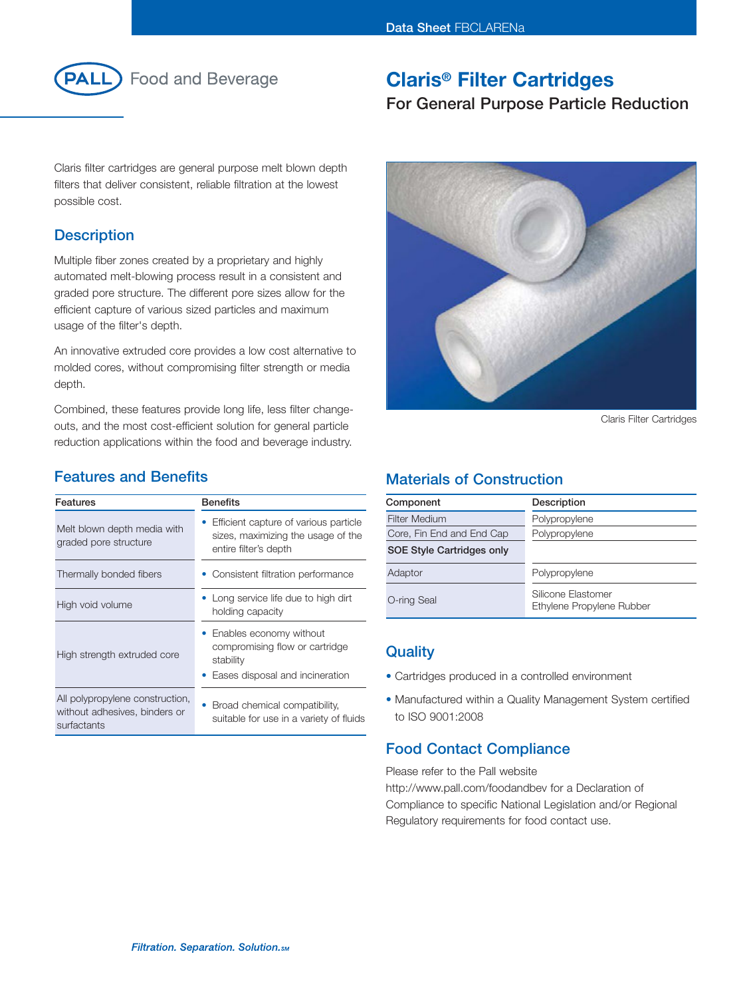

# **Food and Beverage**

# **Claris® Filter Cartridges**

# **For General Purpose Particle Reduction**

Claris filter cartridges are general purpose melt blown depth filters that deliver consistent, reliable filtration at the lowest possible cost.

## **Description**

Multiple fiber zones created by a proprietary and highly automated melt-blowing process result in a consistent and graded pore structure. The different pore sizes allow for the efficient capture of various sized particles and maximum usage of the filter's depth.

An innovative extruded core provides a low cost alternative to molded cores, without compromising filter strength or media depth.

Combined, these features provide long life, less filter changeouts, and the most cost-efficient solution for general particle reduction applications within the food and beverage industry.

## **Features and Benefits**

| <b>Features</b>                                                                 | <b>Benefits</b>                                                                                             |
|---------------------------------------------------------------------------------|-------------------------------------------------------------------------------------------------------------|
| Melt blown depth media with<br>graded pore structure                            | Efficient capture of various particle<br>sizes, maximizing the usage of the<br>entire filter's depth        |
| Thermally bonded fibers                                                         | • Consistent filtration performance                                                                         |
| High void volume                                                                | Long service life due to high dirt<br>holding capacity                                                      |
| High strength extruded core                                                     | • Enables economy without<br>compromising flow or cartridge<br>stability<br>Eases disposal and incineration |
| All polypropylene construction,<br>without adhesives, binders or<br>surfactants | Broad chemical compatibility.<br>suitable for use in a variety of fluids                                    |



Claris Filter Cartridges

## **Materials of Construction**

| Component                 | Description                                     |
|---------------------------|-------------------------------------------------|
| Filter Medium             | Polypropylene                                   |
| Core, Fin End and End Cap | Polypropylene                                   |
| SOE Style Cartridges only |                                                 |
| Adaptor                   | Polypropylene                                   |
| O-ring Seal               | Silicone Elastomer<br>Ethylene Propylene Rubber |

## **Quality**

- Cartridges produced in a controlled environment
- Manufactured within a Quality Management System certified to ISO 9001:2008

## **Food Contact Compliance**

Please refer to the Pall website http://www.pall.com/foodandbev for a Declaration of Compliance to specific National Legislation and/or Regional Regulatory requirements for food contact use.